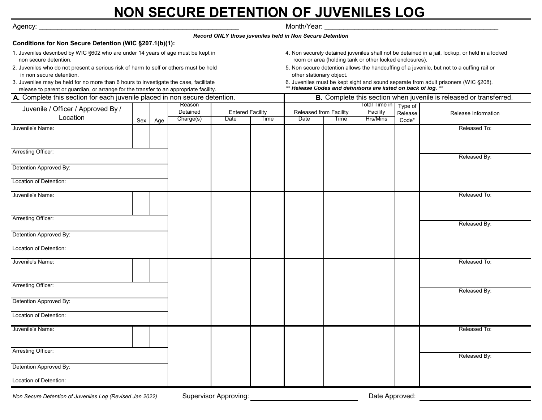## **NON SECURE DETENTION OF JUVENILES LOG**

| Agency:                                                                                                                                                                         |  |                    |           |                                 |                                         |                                                                                                                                                            | Month/Year: |                             |                  |                                                                                     |  |
|---------------------------------------------------------------------------------------------------------------------------------------------------------------------------------|--|--------------------|-----------|---------------------------------|-----------------------------------------|------------------------------------------------------------------------------------------------------------------------------------------------------------|-------------|-----------------------------|------------------|-------------------------------------------------------------------------------------|--|
|                                                                                                                                                                                 |  |                    |           |                                 |                                         | Record ONLY those juveniles held in Non Secure Detention                                                                                                   |             |                             |                  |                                                                                     |  |
| Conditions for Non Secure Detention (WIC §207.1(b)(1):                                                                                                                          |  |                    |           |                                 |                                         |                                                                                                                                                            |             |                             |                  |                                                                                     |  |
| 1. Juveniles described by WIC §602 who are under 14 years of age must be kept in<br>non secure detention.                                                                       |  |                    |           |                                 |                                         | 4. Non securely detained juveniles shall not be detained in a jail, lockup, or held in a locked<br>room or area (holding tank or other locked enclosures). |             |                             |                  |                                                                                     |  |
| 2. Juveniles who do not present a serious risk of harm to self or others must be held<br>in non secure detention.                                                               |  |                    |           |                                 |                                         | 5. Non secure detention allows the handcuffing of a juvenile, but not to a cuffing rail or<br>other stationary object.                                     |             |                             |                  |                                                                                     |  |
| 3. Juveniles may be held for no more than 6 hours to investigate the case, facilitate<br>release to parent or guardian, or arrange for the transfer to an appropriate facility. |  |                    |           |                                 |                                         | ** Release Codes and definitions are listed on back of log. **                                                                                             |             |                             |                  | 6. Juveniles must be kept sight and sound separate from adult prisoners (WIC §208). |  |
| A. Complete this section for each juvenile placed in non secure detention.                                                                                                      |  |                    |           |                                 |                                         | B. Complete this section when juvenile is released or transferred.                                                                                         |             |                             |                  |                                                                                     |  |
| Juvenile / Officer / Approved By /                                                                                                                                              |  | Reason<br>Detained |           |                                 | Total Time in<br>Released from Facility |                                                                                                                                                            |             | Type of                     |                  |                                                                                     |  |
| Location                                                                                                                                                                        |  | Sex Age            | Charge(s) | <b>Entered Facility</b><br>Date | Time                                    | Date                                                                                                                                                       | Time        | Facility<br><b>Hrs/Mins</b> | Release<br>Code* | Release Information                                                                 |  |
| Juvenile's Name:                                                                                                                                                                |  |                    |           |                                 |                                         |                                                                                                                                                            |             |                             |                  | Released To:                                                                        |  |
|                                                                                                                                                                                 |  |                    |           |                                 |                                         |                                                                                                                                                            |             |                             |                  |                                                                                     |  |
| Arresting Officer:                                                                                                                                                              |  |                    |           |                                 |                                         |                                                                                                                                                            |             |                             |                  | Released By:                                                                        |  |
| Detention Approved By:                                                                                                                                                          |  |                    |           |                                 |                                         |                                                                                                                                                            |             |                             |                  |                                                                                     |  |
| Location of Detention:                                                                                                                                                          |  |                    |           |                                 |                                         |                                                                                                                                                            |             |                             |                  |                                                                                     |  |
| Juvenile's Name:                                                                                                                                                                |  |                    |           |                                 |                                         |                                                                                                                                                            |             |                             |                  | Released To:                                                                        |  |
|                                                                                                                                                                                 |  |                    |           |                                 |                                         |                                                                                                                                                            |             |                             |                  |                                                                                     |  |
| Arresting Officer:                                                                                                                                                              |  |                    |           |                                 |                                         |                                                                                                                                                            |             |                             |                  | Released By:                                                                        |  |
| Detention Approved By:                                                                                                                                                          |  |                    |           |                                 |                                         |                                                                                                                                                            |             |                             |                  |                                                                                     |  |
| Location of Detention:                                                                                                                                                          |  |                    |           |                                 |                                         |                                                                                                                                                            |             |                             |                  |                                                                                     |  |
| Juvenile's Name:                                                                                                                                                                |  |                    |           |                                 |                                         |                                                                                                                                                            |             |                             |                  | Released To:                                                                        |  |
|                                                                                                                                                                                 |  |                    |           |                                 |                                         |                                                                                                                                                            |             |                             |                  |                                                                                     |  |
| Arresting Officer:                                                                                                                                                              |  |                    |           |                                 |                                         |                                                                                                                                                            |             |                             |                  | Released By:                                                                        |  |
| Detention Approved By:                                                                                                                                                          |  |                    |           |                                 |                                         |                                                                                                                                                            |             |                             |                  |                                                                                     |  |
| Location of Detention:                                                                                                                                                          |  |                    |           |                                 |                                         |                                                                                                                                                            |             |                             |                  |                                                                                     |  |
| Juvenile's Name:                                                                                                                                                                |  |                    |           |                                 |                                         |                                                                                                                                                            |             |                             |                  | Released To:                                                                        |  |
|                                                                                                                                                                                 |  |                    |           |                                 |                                         |                                                                                                                                                            |             |                             |                  |                                                                                     |  |
| Arresting Officer:                                                                                                                                                              |  |                    |           |                                 |                                         |                                                                                                                                                            |             |                             |                  | Released By:                                                                        |  |
| Detention Approved By:                                                                                                                                                          |  |                    |           |                                 |                                         |                                                                                                                                                            |             |                             |                  |                                                                                     |  |
| Location of Detention:                                                                                                                                                          |  |                    |           |                                 |                                         |                                                                                                                                                            |             |                             |                  |                                                                                     |  |